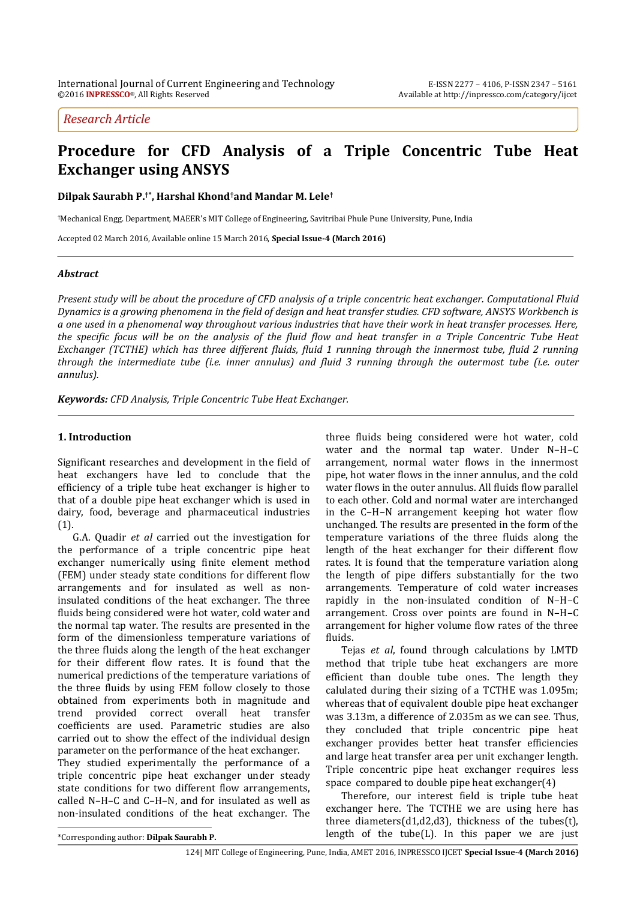# *Research Article*

# **Procedure for CFD Analysis of a Triple Concentric Tube Heat Exchanger using ANSYS**

**Dilpak Saurabh P.†\* , Harshal Khond†and Mandar M. Lele†**

**†**Mechanical Engg. Department, MAEER's MIT College of Engineering, Savitribai Phule Pune University, Pune, India

Accepted 02 March 2016, Available online 15 March 2016, **Special Issue-4 (March 2016)**

# *Abstract*

*Present study will be about the procedure of CFD analysis of a triple concentric heat exchanger. Computational Fluid Dynamics is a growing phenomena in the field of design and heat transfer studies. CFD software, ANSYS Workbench is a one used in a phenomenal way throughout various industries that have their work in heat transfer processes. Here, the specific focus will be on the analysis of the fluid flow and heat transfer in a Triple Concentric Tube Heat Exchanger (TCTHE) which has three different fluids, fluid 1 running through the innermost tube, fluid 2 running through the intermediate tube (i.e. inner annulus) and fluid 3 running through the outermost tube (i.e. outer annulus).*

*Keywords: CFD Analysis, Triple Concentric Tube Heat Exchanger.*

# **1. Introduction**

Significant researches and development in the field of heat exchangers have led to conclude that the efficiency of a triple tube heat exchanger is higher to that of a double pipe heat exchanger which is used in dairy, food, beverage and pharmaceutical industries (1).

G.A. Quadir *et al* carried out the investigation for the performance of a triple concentric pipe heat exchanger numerically using finite element method (FEM) under steady state conditions for different flow arrangements and for insulated as well as noninsulated conditions of the heat exchanger. The three fluids being considered were hot water, cold water and the normal tap water. The results are presented in the form of the dimensionless temperature variations of the three fluids along the length of the heat exchanger for their different flow rates. It is found that the numerical predictions of the temperature variations of the three fluids by using FEM follow closely to those obtained from experiments both in magnitude and trend provided correct overall heat transfer coefficients are used. Parametric studies are also carried out to show the effect of the individual design parameter on the performance of the heat exchanger.

They studied experimentally the performance of a triple concentric pipe heat exchanger under steady state conditions for two different flow arrangements, called N–H–C and C–H–N, and for insulated as well as non-insulated conditions of the heat exchanger. The three fluids being considered were hot water, cold water and the normal tap water. Under N–H–C arrangement, normal water flows in the innermost pipe, hot water flows in the inner annulus, and the cold water flows in the outer annulus. All fluids flow parallel to each other. Cold and normal water are interchanged in the C–H–N arrangement keeping hot water flow unchanged. The results are presented in the form of the temperature variations of the three fluids along the length of the heat exchanger for their different flow rates. It is found that the temperature variation along the length of pipe differs substantially for the two arrangements. Temperature of cold water increases rapidly in the non-insulated condition of N–H–C arrangement. Cross over points are found in N–H–C arrangement for higher volume flow rates of the three fluids.

Tejas *et al*, found through calculations by LMTD method that triple tube heat exchangers are more efficient than double tube ones. The length they calulated during their sizing of a TCTHE was 1.095m; whereas that of equivalent double pipe heat exchanger was 3.13m, a difference of 2.035m as we can see. Thus, they concluded that triple concentric pipe heat exchanger provides better heat transfer efficiencies and large heat transfer area per unit exchanger length. Triple concentric pipe heat exchanger requires less space compared to double pipe heat exchanger(4)

Therefore, our interest field is triple tube heat exchanger here. The TCTHE we are using here has three diameters(d1,d2,d3), thickness of the tubes(t), length of the tube(L). In this paper we are just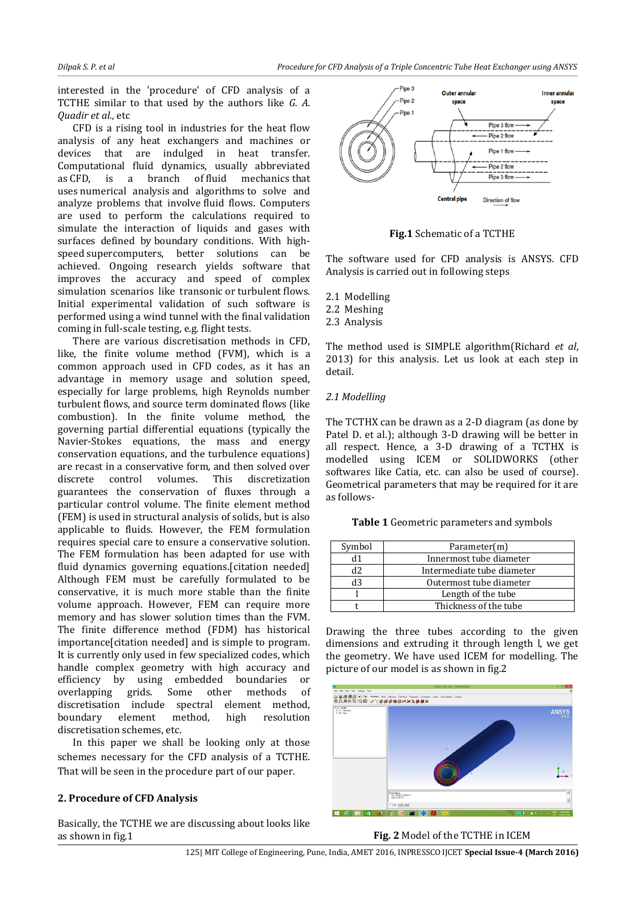interested in the 'procedure' of CFD analysis of a TCTHE similar to that used by the authors like *G. A. Quadir et al.,* etc

CFD is a rising tool in industries for the heat flow analysis of any heat exchangers and machines or devices that are indulged in heat transfer. Computational fluid dynamics, usually abbreviated as CFD, is a branch of [fluid mechanics](https://en.wikipedia.org/wiki/Fluid_mechanics) that uses [numerical analysis](https://en.wikipedia.org/wiki/Numerical_analysis) and [algorithms](https://en.wikipedia.org/wiki/Algorithm) to solve and analyze problems that involve fluid flows. Computers are used to perform the calculations required to simulate the interaction of liquids and gases with surfaces defined by [boundary conditions.](https://en.wikipedia.org/wiki/Boundary_conditions) With highspeed [supercomputers,](https://en.wikipedia.org/wiki/Supercomputer) better solutions can be achieved. Ongoing research yields software that improves the accuracy and speed of complex simulation scenarios like [transonic](https://en.wikipedia.org/wiki/Transonic) or [turbulent](https://en.wikipedia.org/wiki/Turbulence) flows. Initial experimental validation of such software is performed using a [wind tunnel](https://en.wikipedia.org/wiki/Wind_tunnel) with the final validation coming in full-scale testing, e.g. [flight tests.](https://en.wikipedia.org/wiki/Flight_test)

There are various discretisation methods in CFD, like, the finite volume method (FVM), which is a common approach used in CFD codes, as it has an advantage in memory usage and solution speed, especially for large problems, high Reynolds number turbulent flows, and source term dominated flows (like combustion). In the finite volume method, the governing partial differential equations (typically the Navier-Stokes equations, the mass and energy conservation equations, and the turbulence equations) are recast in a conservative form, and then solved over discrete control volumes. This discretization guarantees the conservation of fluxes through a particular control volume. The finite element method (FEM) is used in structural analysis of solids, but is also applicable to fluids. However, the FEM formulation requires special care to ensure a conservative solution. The FEM formulation has been adapted for use with fluid dynamics governing equations.[citation needed] Although FEM must be carefully formulated to be conservative, it is much more stable than the finite volume approach. However, FEM can require more memory and has slower solution times than the FVM. The finite difference method (FDM) has historical importance[citation needed] and is simple to program. It is currently only used in few specialized codes, which handle complex geometry with high accuracy and efficiency by using embedded boundaries or overlapping grids. Some other methods of discretisation include spectral element method, boundary element method, high resolution discretisation schemes, etc.

In this paper we shall be looking only at those schemes necessary for the CFD analysis of a TCTHE. That will be seen in the procedure part of our paper.

# **2. Procedure of CFD Analysis**

Basically, the TCTHE we are discussing about looks like as shown in fig.1



**Fig.1** Schematic of a TCTHE

The software used for CFD analysis is ANSYS. CFD Analysis is carried out in following steps

- 2.1 Modelling
- 2.2 Meshing
- 2.3 Analysis

The method used is SIMPLE algorithm(Richard *et al*, 2013) for this analysis. Let us look at each step in detail.

# *2.1 Modelling*

The TCTHX can be drawn as a 2-D diagram (as done by Patel D. et al.); although 3-D drawing will be better in all respect. Hence, a 3-D drawing of a TCTHX is modelled using ICEM or SOLIDWORKS (other softwares like Catia, etc. can also be used of course). Geometrical parameters that may be required for it are as follows-

**Table 1** Geometric parameters and symbols

| Symbol | Parameter(m)               |
|--------|----------------------------|
|        | Innermost tube diameter    |
| d2.    | Intermediate tube diameter |
| dЗ     | Outermost tube diameter    |
|        | Length of the tube         |
|        | Thickness of the tube      |

Drawing the three tubes according to the given dimensions and extruding it through length l, we get the geometry. We have used ICEM for modelling. The picture of our model is as shown in fig.2



**Fig. 2** Model of the TCTHE in ICEM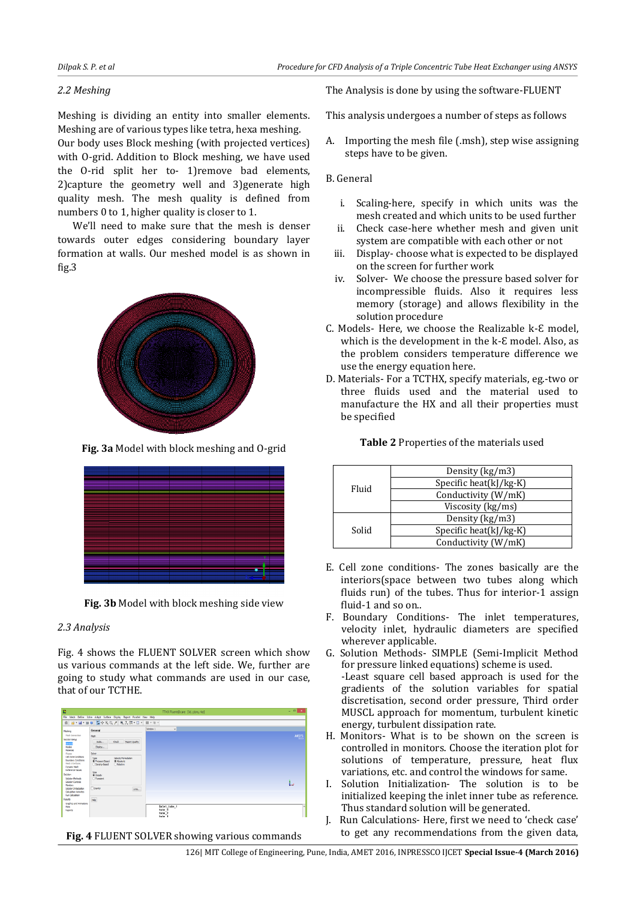### *2.2 Meshing*

Meshing is dividing an entity into smaller elements. Meshing are of various types like tetra, hexa meshing.

Our body uses Block meshing (with projected vertices) with O-grid. Addition to Block meshing, we have used the O-rid split her to- 1)remove bad elements, 2)capture the geometry well and 3)generate high quality mesh. The mesh quality is defined from numbers 0 to 1, higher quality is closer to 1.

We'll need to make sure that the mesh is denser towards outer edges considering boundary layer formation at walls. Our meshed model is as shown in fig.3



**Fig. 3a** Model with block meshing and O-grid

**Fig. 3b** Model with block meshing side view

# *2.3 Analysis*

Fig. 4 shows the FLUENT SOLVER screen which show us various commands at the left side. We, further are going to study what commands are used in our case, that of our TCTHE.

| E                                                                                                                                                                                                                                                                                                                                                  |                                                                                                                                              | TTHX Fluent@care [3d, pbns, rke]                                            | $   x$    |
|----------------------------------------------------------------------------------------------------------------------------------------------------------------------------------------------------------------------------------------------------------------------------------------------------------------------------------------------------|----------------------------------------------------------------------------------------------------------------------------------------------|-----------------------------------------------------------------------------|-----------|
| File.                                                                                                                                                                                                                                                                                                                                              | Mesh Define Solve Adapt Surface Display Report Parallel View Help                                                                            |                                                                             |           |
|                                                                                                                                                                                                                                                                                                                                                    | ■ 2-2-20 5-00 人 0人間 ローヨール                                                                                                                    |                                                                             |           |
| Nething                                                                                                                                                                                                                                                                                                                                            | General                                                                                                                                      | <b>Bledow 1</b><br>v                                                        |           |
| Healt Generation<br>Solution Setup<br>General<br>Models<br><b>Haterials</b><br>Phases<br>Cell Zone Conditions<br><b>Boundary Conditions</b><br><b>Hesh Interfaces</b><br>Dunanic Nesh<br>Reference Values<br>Solution<br>Solution Methods<br>Solution Controls<br>Monitors<br>Solution Initialization<br>Calculation Activities<br>Run Calculation | Mesh                                                                                                                                         |                                                                             | ANSYS     |
|                                                                                                                                                                                                                                                                                                                                                    | <b>Check</b><br>Report Quality<br>Stale<br>Disting <sub>ent</sub>                                                                            |                                                                             |           |
|                                                                                                                                                                                                                                                                                                                                                    | Solver                                                                                                                                       |                                                                             |           |
|                                                                                                                                                                                                                                                                                                                                                    | Velocity Formulation<br>Type<br>C Pressure Based<br>@ Absolute<br><b>Cleany</b><br>O Density Based<br>Time<br>(@ Steady<br><b>O</b> Transler |                                                                             | ь         |
|                                                                                                                                                                                                                                                                                                                                                    | Genty<br><b>Units</b>                                                                                                                        |                                                                             |           |
| Results<br>Graphics and Animations<br>Plots<br>Reports                                                                                                                                                                                                                                                                                             | Help                                                                                                                                         | inlet tube 1<br>tube <sub>2</sub><br>tube <sub>2</sub><br>tube <sub>1</sub> | $\lambda$ |

**Fig. 4** FLUENT SOLVER showing various commands

The Analysis is done by using the software-FLUENT

This analysis undergoes a number of steps as follows

A. Importing the mesh file (.msh), step wise assigning steps have to be given.

# B. General

- i. Scaling-here, specify in which units was the mesh created and which units to be used further
- ii. Check case-here whether mesh and given unit system are compatible with each other or not
- iii. Display- choose what is expected to be displayed on the screen for further work
- iv. Solver- We choose the pressure based solver for incompressible fluids. Also it requires less memory (storage) and allows flexibility in the solution procedure
- C. Models- Here, we choose the Realizable k-E model, which is the development in the k-E model. Also, as the problem considers temperature difference we use the energy equation here.
- D. Materials- For a TCTHX, specify materials, eg.-two or three fluids used and the material used to manufacture the HX and all their properties must be specified

| Fluid | Density (kg/m3)                |  |
|-------|--------------------------------|--|
|       | Specific heat(kJ/kg-K)         |  |
|       | Conductivity (W/mK)            |  |
|       | Viscosity (kg/ms)              |  |
| Solid | Density (kg/m3)                |  |
|       | Specific heat( $k$ J/ $kg$ -K) |  |
|       | Conductivity (W/mK)            |  |

#### **Table 2** Properties of the materials used

- E. Cell zone conditions- The zones basically are the interiors(space between two tubes along which fluids run) of the tubes. Thus for interior-1 assign fluid-1 and so on..
- F. Boundary Conditions- The inlet temperatures, velocity inlet, hydraulic diameters are specified wherever applicable.
- G. Solution Methods- SIMPLE (Semi-Implicit Method for pressure linked equations) scheme is used. -Least square cell based approach is used for the gradients of the solution variables for spatial discretisation, second order pressure, Third order MUSCL approach for momentum, turbulent kinetic energy, turbulent dissipation rate.
- H. Monitors- What is to be shown on the screen is controlled in monitors. Choose the iteration plot for solutions of temperature, pressure, heat flux variations, etc. and control the windows for same.
- I. Solution Initialization- The solution is to be initialized keeping the inlet inner tube as reference. Thus standard solution will be generated.
- J. Run Calculations- Here, first we need to 'check case' to get any recommendations from the given data,